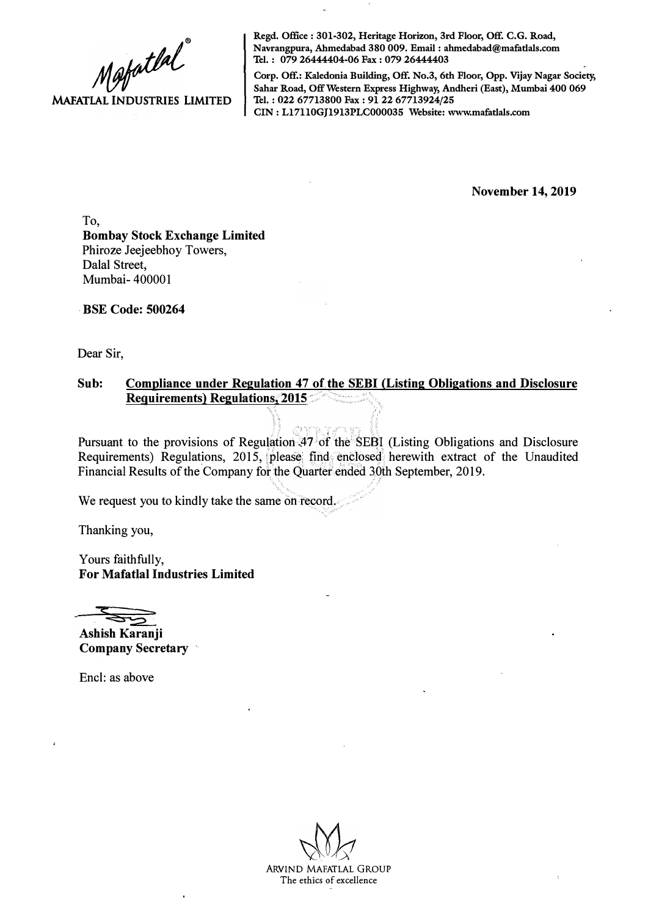$M$ ofatlal **MAFATLAL INDUSTRIES LIMITED** 

**Regd. Office : 301-302, Heritage Horizon, 3rd Floor, Off. C.G. Road, Navrangpura, Ahmedabad 380 009. Email : ahmedabad@mafatlals.com Tel. : 079 26444404-06 Fax : 079 26444403** 

**Corp. Off.: Kaledonia Building, Off. No.3, 6th Floor, Opp. Vijay Nagar Society, Sahar Road, Off Western Express Highway, Andheri (East), Mumbai 400 069 Tel. : 022 67713800 Fax : 91 22 67713924/25 CIN : Ll7110GJ1913PLC000035 Website: www.mafatlals.com** 

**November 14, 2019** 

To, **Bombay Stock Exchange Limited**  Phiroze Jeejeebhoy Towers, Dalal Street, Mumbai- 400001

**· BSE Code: 500264**

Dear Sir,

## Sub: Compliance under Regulation 47 of the SEBI (Listing Obligations and Disclosure **Requirements) Regulations; 2015**

 $\ddot{x}$ 

Pursuant to the provisions of Regul�tion..4; of the SE�I (Listing Obligations and Disclosure Requirements) Regulations, 2015, please find enclosed herewith extract of the Unaudited Financial Results of the Company for the Quarter ended 30th September, 2019.

We request you to kindly take the same on record.

Thanking you,

Yours faithfully, **For Mafatlal Industries Limited** 

**Ashish Karanji Company Secretary** 

Encl: as above

ARVIND MAFATLAL GROUP **The ethics of excellence**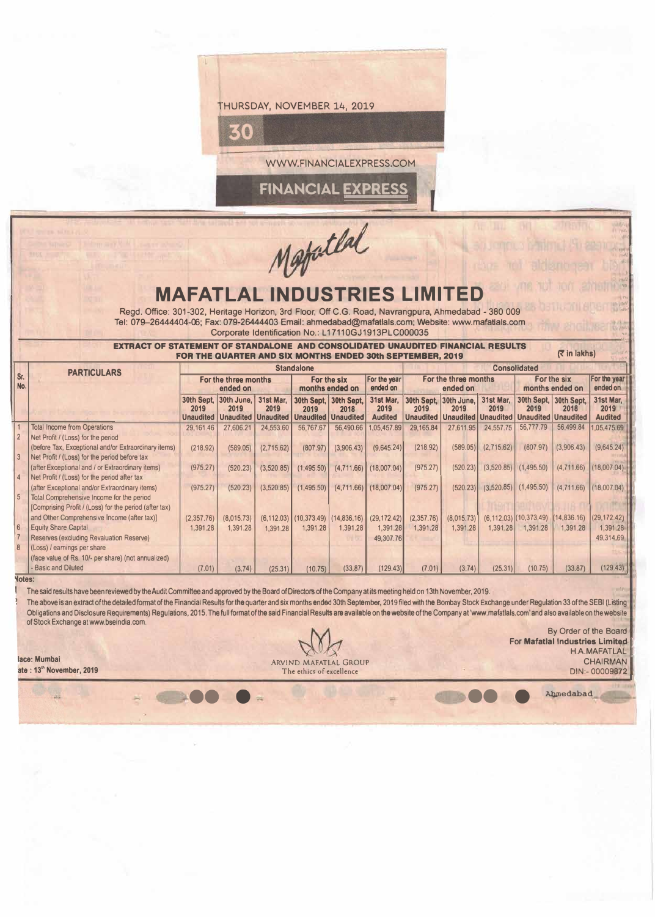

fatlat

## **MAFATLAL INDUSTRIES L**

Regd. Office: 301-302, Heritage Horizon, 3rd Floor, Off C.G. Road, Navrangpura, Ahmedabad - 380 009 Tel: 079-26444404-06; Fax: 079-26444403 Email: ahmedabad@mafatlals.com; Website: www.mafatlals.com . Corporate Identification No.: L17110GJ1913PLC000035

**EXTRACT OF STATEMENT OF STANDALONE AND CONSOLIDATED UNAUDITED FINANCIAL RESULTS** [7 in lakhs] **[7 in lakhs] FOR THE QUARTER AND SIX MONTHS ENDED 30th SEPTEMBER, 2019** 

| (₹ in lakhs)<br>FOR THE QUARTER AND SIX MONTHS ENDED 30th SEPTEMBER, 2019 |                                                                                                       |                                        |                                                  |                   |                                                   |                          |                                     |                          |                                  |                   |                                                                                |              |                                     |  |  |
|---------------------------------------------------------------------------|-------------------------------------------------------------------------------------------------------|----------------------------------------|--------------------------------------------------|-------------------|---------------------------------------------------|--------------------------|-------------------------------------|--------------------------|----------------------------------|-------------------|--------------------------------------------------------------------------------|--------------|-------------------------------------|--|--|
|                                                                           | <b>PARTICULARS</b>                                                                                    | <b>Standalone</b>                      |                                                  |                   |                                                   |                          |                                     |                          | <b>Consolidated</b>              |                   |                                                                                |              |                                     |  |  |
| Sr.<br>No.                                                                |                                                                                                       | For the three months<br>ended on       |                                                  |                   | For the six<br>months ended on                    |                          | For the year<br>ended on            |                          | For the three months<br>ended on |                   | For the six<br>months ended on                                                 |              | For the year<br>ended on            |  |  |
|                                                                           |                                                                                                       | 30th Sept.<br>2019<br><b>Unaudited</b> | 30th June.<br>2019<br><b>Unaudited Unaudited</b> | 31st Mar.<br>2019 | 30th Sept, 30th Sept,<br>2019<br><b>Unaudited</b> | 2018<br><b>Unaudited</b> | 31st Mar.<br>2019<br><b>Audited</b> | 2019<br><b>Unaudited</b> | 30th Sept. 30th June.<br>2019    | 31st Mar.<br>2019 | 30th Sept. 30th Sept.<br>2019<br>Unaudited   Unaudited   Unaudited   Unaudited | 2018         | 31st Mar.<br>2019<br><b>Audited</b> |  |  |
|                                                                           | <b>Total Income from Operations</b>                                                                   | 29,161.46                              | 27,606.21                                        | 24,553.60         | 56,767.67                                         | 56,490.66                | 1.05.457.89                         | 29, 165.84               | 27,611.95                        | 24,557.75         | 56,777.79                                                                      | 56.499.84    | 1.05.475.69                         |  |  |
|                                                                           | Net Profit / (Loss) for the period                                                                    |                                        |                                                  |                   |                                                   |                          |                                     |                          |                                  |                   |                                                                                |              |                                     |  |  |
| 3                                                                         | (before Tax, Exceptional and/or Extraordinary items)<br>Net Profit / (Loss) for the period before tax | (218.92)                               | (589.05)                                         | (2,715.62)        | (807.97)                                          | (3,906.43)               | (9,645.24)                          | (218.92)                 | (589.05)                         | (2,715.62)        | (807.97)                                                                       | (3.906.43)   | (9,645.24)                          |  |  |
|                                                                           | (after Exceptional and / or Extraordinary items)                                                      | (975.27)                               | (520.23)                                         | (3,520.85)        | (1,495.50)                                        | (4,711.66)               | (18,007.04)                         | (975.27)                 | (520.23)                         |                   | $(3,520.85)$ $(1,495.50)$                                                      | (4,711.66)   | (18,007.04)                         |  |  |
| $\overline{4}$                                                            | Net Profit / (Loss) for the period after tax                                                          |                                        |                                                  |                   |                                                   |                          |                                     |                          |                                  |                   |                                                                                |              |                                     |  |  |
|                                                                           | (after Exceptional and/or Extraordinary items)                                                        | (975.27)                               | (520.23)                                         | (3,520.85)        | (1,495.50)                                        | (4,711.66)               | (18,007.04)                         | (975.27)                 | (520.23)                         |                   | $(3,520.85)$ $(1,495.50)$                                                      | (4,711.66)   | (18,007,04)                         |  |  |
| 5 <sup>1</sup>                                                            | Total Comprehensive Income for the period                                                             |                                        |                                                  |                   |                                                   |                          |                                     |                          |                                  |                   |                                                                                |              |                                     |  |  |
|                                                                           | (Comprising Profit / (Loss) for the period (after tax)                                                |                                        |                                                  |                   |                                                   |                          |                                     |                          |                                  |                   |                                                                                |              |                                     |  |  |
|                                                                           | and Other Comprehensive Income (after tax)]                                                           | (2,357.76)                             | (8,015.73)                                       |                   | $(6, 112.03)$ (10,373.49) (14,836.16)             |                          | (29, 172.42)                        | (2,357.76)               | (8,015.73)                       |                   | $(6, 112.03)$ $(10, 373.49)$                                                   | (14, 836.16) | (29, 172.42)                        |  |  |
| 6 <sup>5</sup>                                                            | <b>Equity Share Capital</b>                                                                           | 1,391.28                               | 1.391.28                                         | 1,391.28          | 1,391.28                                          | 1,391.28                 | 1,391.28                            | 1,391.28                 | 1,391.28                         | 1,391.28          | 1,391.28                                                                       | 1,391.28     | 1,391.28                            |  |  |
|                                                                           | Reserves (excluding Revaluation Reserve)                                                              |                                        |                                                  |                   |                                                   |                          | 49.307.76                           |                          |                                  |                   |                                                                                |              | 49,314.69                           |  |  |
| 8                                                                         | (Loss) / earnings per share                                                                           |                                        |                                                  |                   |                                                   |                          |                                     |                          |                                  |                   |                                                                                |              |                                     |  |  |
|                                                                           | (face value of Rs. 10/- per share) (not annualized)                                                   |                                        |                                                  |                   |                                                   |                          |                                     |                          |                                  |                   |                                                                                |              |                                     |  |  |
|                                                                           | - Basic and Diluted                                                                                   | (7.01)                                 | (3.74)                                           | (25.31)           | (10.75)                                           | (33.87)                  | (129.43)                            | (7.01)                   | (3.74)                           | (25.31)           | (10.75)                                                                        | (33.87)      | (129.43)                            |  |  |

## **� oles:**

The said results have been reviewed by the Audit Committee and approved by the Board of Directors of the Company at its meeting held on 13th November, 2019.

The above is an extract of the detailed format of the Financial Results for the quarter and six months ended 30th September, 2019 filed with the Bombay Stock Exchange under Regulation 33 of the SEBI (Listing Obligations and Disclosure Requirements) Regulations, 2015. The full format of the said Financial Results are available on the **website** of the Company at 'www.mafatlals.com' and also available on the website of Stock Exchange at www.bseindia.com.

A.

**lace: Mumbai** ARVIND MAFATLAL GROUP CHAIRMAN **ate : 13<sup>™</sup> November, 2019 DIN:- 00009872** •• • •• **• Al:ilnedabad**

By Order of the Board **For Mafatlal Industries Limited** H.A.MAFATLAL<br>CHAIRMAN

.. . ·•'·

,·., **I I** 

*·.t* 

**BAG** 

�'.

•

I

**I**